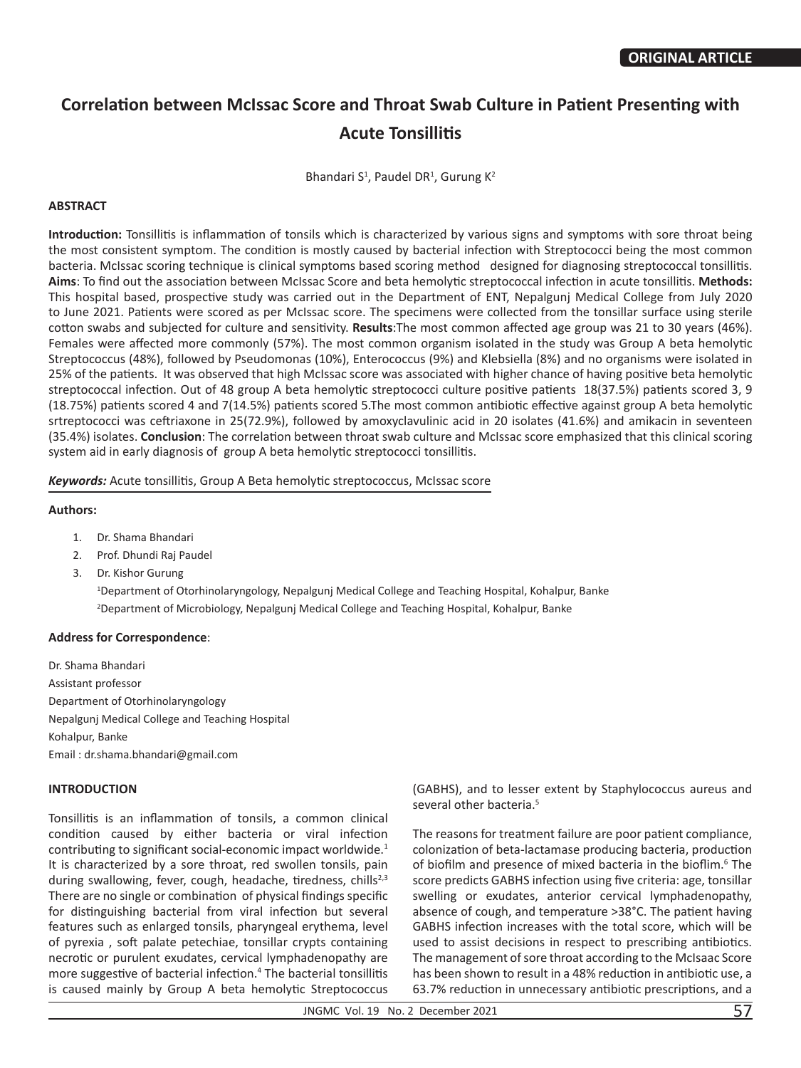# **Correlation between McIssac Score and Throat Swab Culture in Patient Presenting with Acute Tonsillitis**

Bhandari S<sup>1</sup>, Paudel DR<sup>1</sup>, Gurung K<sup>2</sup>

#### **ABSTRACT**

**Introduction:** Tonsillitis is inflammation of tonsils which is characterized by various signs and symptoms with sore throat being the most consistent symptom. The condition is mostly caused by bacterial infection with Streptococci being the most common bacteria. McIssac scoring technique is clinical symptoms based scoring method designed for diagnosing streptococcal tonsillitis. **Aims**: To find out the association between McIssac Score and beta hemolytic streptococcal infection in acute tonsillitis. **Methods:**  This hospital based, prospective study was carried out in the Department of ENT, Nepalgunj Medical College from July 2020 to June 2021. Patients were scored as per McIssac score. The specimens were collected from the tonsillar surface using sterile cotton swabs and subjected for culture and sensitivity. **Results**:The most common affected age group was 21 to 30 years (46%). Females were affected more commonly (57%). The most common organism isolated in the study was Group A beta hemolytic Streptococcus (48%), followed by Pseudomonas (10%), Enterococcus (9%) and Klebsiella (8%) and no organisms were isolated in 25% of the patients. It was observed that high McIssac score was associated with higher chance of having positive beta hemolytic streptococcal infection. Out of 48 group A beta hemolytic streptococci culture positive patients 18(37.5%) patients scored 3, 9 (18.75%) patients scored 4 and 7(14.5%) patients scored 5.The most common antibiotic effective against group A beta hemolytic srtreptococci was ceftriaxone in 25(72.9%), followed by amoxyclavulinic acid in 20 isolates (41.6%) and amikacin in seventeen (35.4%) isolates. **Conclusion**: The correlation between throat swab culture and McIssac score emphasized that this clinical scoring system aid in early diagnosis of group A beta hemolytic streptococci tonsillitis.

*Keywords:* Acute tonsillitis, Group A Beta hemolytic streptococcus, McIssac score

#### **Authors:**

- 1. Dr. Shama Bhandari
- 2. Prof. Dhundi Raj Paudel
- 3. Dr. Kishor Gurung

1 Department of Otorhinolaryngology, Nepalgunj Medical College and Teaching Hospital, Kohalpur, Banke 2 Department of Microbiology, Nepalgunj Medical College and Teaching Hospital, Kohalpur, Banke

## **Address for Correspondence**:

Dr. Shama Bhandari Assistant professor Department of Otorhinolaryngology Nepalgunj Medical College and Teaching Hospital Kohalpur, Banke Email : dr.shama.bhandari@gmail.com

## **INTRODUCTION**

Tonsillitis is an inflammation of tonsils, a common clinical condition caused by either bacteria or viral infection contributing to significant social-economic impact worldwide.<sup>1</sup> It is characterized by a sore throat, red swollen tonsils, pain during swallowing, fever, cough, headache, tiredness, chills<sup>2,3</sup> There are no single or combination of physical findings specific for distinguishing bacterial from viral infection but several features such as enlarged tonsils, pharyngeal erythema, level of pyrexia , soft palate petechiae, tonsillar crypts containing necrotic or purulent exudates, cervical lymphadenopathy are more suggestive of bacterial infection.<sup>4</sup> The bacterial tonsillitis is caused mainly by Group A beta hemolytic Streptococcus

(GABHS), and to lesser extent by Staphylococcus aureus and several other bacteria.<sup>5</sup>

The reasons for treatment failure are poor patient compliance, colonization of beta-lactamase producing bacteria, production of biofilm and presence of mixed bacteria in the bioflim.<sup>6</sup> The score predicts GABHS infection using five criteria: age, tonsillar swelling or exudates, anterior cervical lymphadenopathy, absence of cough, and temperature >38°C. The patient having GABHS infection increases with the total score, which will be used to assist decisions in respect to prescribing antibiotics. The management of sore throat according to the McIsaac Score has been shown to result in a 48% reduction in antibiotic use, a 63.7% reduction in unnecessary antibiotic prescriptions, and a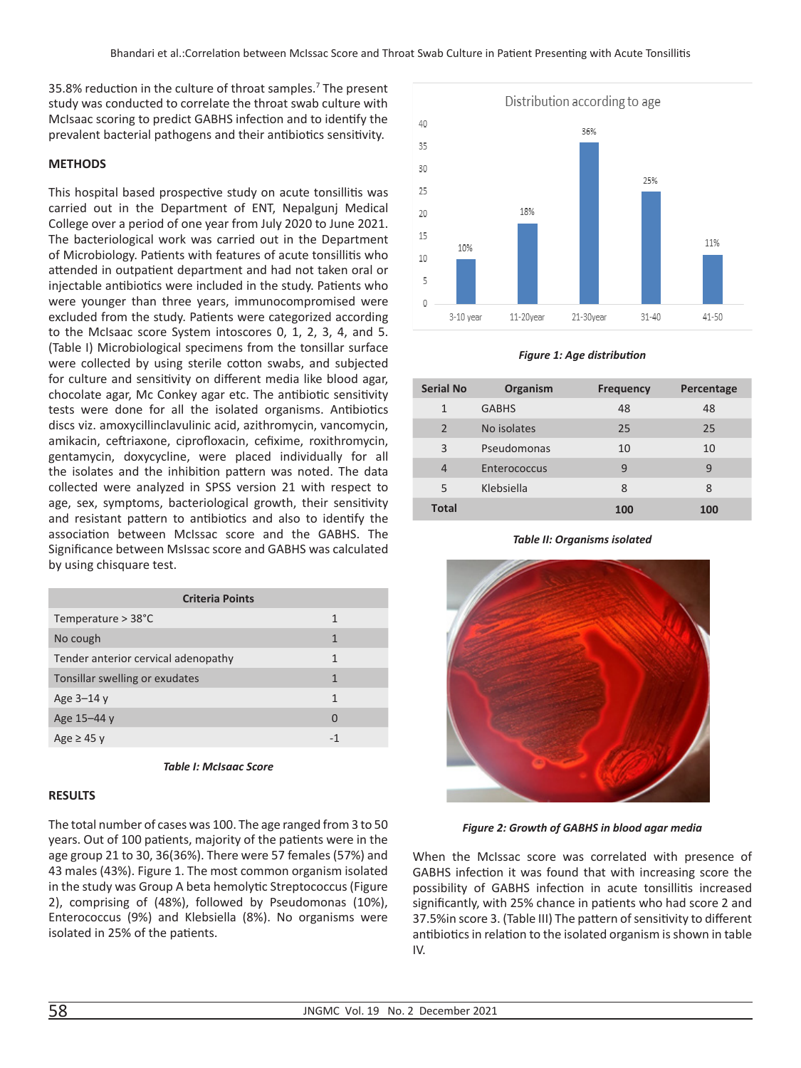35.8% reduction in the culture of throat samples.<sup>7</sup> The present study was conducted to correlate the throat swab culture with McIsaac scoring to predict GABHS infection and to identify the prevalent bacterial pathogens and their antibiotics sensitivity.

### **METHODS**

This hospital based prospective study on acute tonsillitis was carried out in the Department of ENT, Nepalgunj Medical College over a period of one year from July 2020 to June 2021. The bacteriological work was carried out in the Department of Microbiology. Patients with features of acute tonsillitis who attended in outpatient department and had not taken oral or injectable antibiotics were included in the study. Patients who were younger than three years, immunocompromised were excluded from the study. Patients were categorized according to the McIsaac score System intoscores 0, 1, 2, 3, 4, and 5. (Table I) Microbiological specimens from the tonsillar surface were collected by using sterile cotton swabs, and subjected for culture and sensitivity on different media like blood agar, chocolate agar, Mc Conkey agar etc. The antibiotic sensitivity tests were done for all the isolated organisms. Antibiotics discs viz. amoxycillinclavulinic acid, azithromycin, vancomycin, amikacin, ceftriaxone, ciprofloxacin, cefixime, roxithromycin, gentamycin, doxycycline, were placed individually for all the isolates and the inhibition pattern was noted. The data collected were analyzed in SPSS version 21 with respect to age, sex, symptoms, bacteriological growth, their sensitivity and resistant pattern to antibiotics and also to identify the association between McIssac score and the GABHS. The Significance between MsIssac score and GABHS was calculated by using chisquare test.

| <b>Criteria Points</b>              |   |  |  |  |  |
|-------------------------------------|---|--|--|--|--|
| Temperature > 38°C                  | 1 |  |  |  |  |
| No cough                            | 1 |  |  |  |  |
| Tender anterior cervical adenopathy | 1 |  |  |  |  |
| Tonsillar swelling or exudates      | 1 |  |  |  |  |
| Age $3-14y$                         | 1 |  |  |  |  |
| Age 15–44 y                         | 0 |  |  |  |  |
| Age $\geq$ 45 y                     |   |  |  |  |  |



#### **RESULTS**

The total number of cases was 100. The age ranged from 3 to 50 years. Out of 100 patients, majority of the patients were in the age group 21 to 30, 36(36%). There were 57 females (57%) and 43 males (43%). Figure 1. The most common organism isolated in the study was Group A beta hemolytic Streptococcus (Figure 2), comprising of (48%), followed by Pseudomonas (10%), Enterococcus (9%) and Klebsiella (8%). No organisms were isolated in 25% of the patients.



*Figure 1: Age distribution*

| <b>Serial No</b> | Organism     | <b>Frequency</b> | Percentage |
|------------------|--------------|------------------|------------|
| $\mathbf{1}$     | <b>GABHS</b> | 48               | 48         |
| 2                | No isolates  | 25               | 25         |
| 3                | Pseudomonas  | 10               | 10         |
| $\overline{4}$   | Enterococcus | 9                | 9          |
| 5                | Klebsiella   | 8                | 8          |
| <b>Total</b>     |              | 100              | 100        |

*Table II: Organisms isolated*



*Figure 2: Growth of GABHS in blood agar media*

When the McIssac score was correlated with presence of GABHS infection it was found that with increasing score the possibility of GABHS infection in acute tonsillitis increased significantly, with 25% chance in patients who had score 2 and 37.5%in score 3. (Table III) The pattern of sensitivity to different antibiotics in relation to the isolated organism is shown in table IV.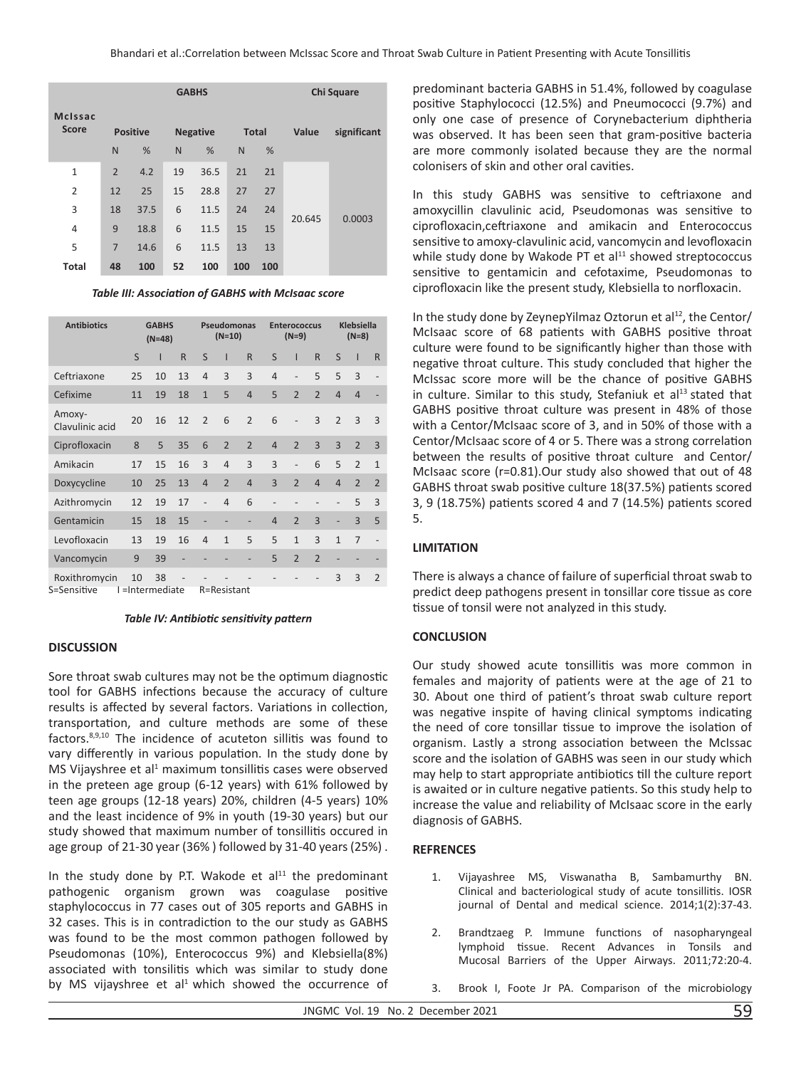|                                |                | <b>GABHS</b>    |    |                 |              |     |        | Chi Square  |  |  |
|--------------------------------|----------------|-----------------|----|-----------------|--------------|-----|--------|-------------|--|--|
| <b>McIssac</b><br><b>Score</b> |                | <b>Positive</b> |    | <b>Negative</b> | <b>Total</b> |     | Value  | significant |  |  |
|                                | N              | %               | N  | %               | N            | %   |        |             |  |  |
| $\mathbf{1}$                   | $\overline{2}$ | 4.2             | 19 | 36.5            | 21           | 21  |        |             |  |  |
| $\overline{2}$                 | 12             | 25              | 15 | 28.8            | 27           | 27  |        |             |  |  |
| 3                              | 18             | 37.5            | 6  | 11.5            | 24           | 24  | 20.645 | 0.0003      |  |  |
| $\overline{4}$                 | 9              | 18.8            | 6  | 11.5            | 15           | 15  |        |             |  |  |
| 5                              | $\overline{7}$ | 14.6            | 6  | 11.5            | 13           | 13  |        |             |  |  |
| <b>Total</b>                   | 48             | 100             | 52 | 100             | 100          | 100 |        |             |  |  |

*Table III: Association of GABHS with McIsaac score*

| <b>Antibiotics</b>        | <b>GABHS</b><br>$(N=48)$ |                    | Pseudomonas<br>$(N=10)$ |                | <b>Enterococcus</b><br>$(N=9)$ |                   |                | <b>Klebsiella</b><br>$(N=8)$ |                |                          |                |                          |
|---------------------------|--------------------------|--------------------|-------------------------|----------------|--------------------------------|-------------------|----------------|------------------------------|----------------|--------------------------|----------------|--------------------------|
|                           | S                        | ı                  | $\mathsf{R}$            | S              | ı                              | $\mathsf{R}$      | S              | ı                            | R              | S                        | ı              | $\mathsf{R}$             |
| Ceftriaxone               | 25                       | 10                 | 13                      | $\overline{4}$ | $\overline{3}$                 | 3                 | $\overline{4}$ | $\overline{a}$               | 5              | 5                        | 3              | $\overline{\phantom{0}}$ |
| Cefixime                  | 11                       | 19                 | 18                      | $\mathbf{1}$   | 5                              | $\overline{4}$    | 5              | $\overline{2}$               | $\overline{2}$ | $\overline{4}$           | $\overline{4}$ |                          |
| Amoxy-<br>Clavulinic acid | 20                       | 16                 | 12                      | $\overline{2}$ | 6                              | $\overline{2}$    | 6              | $\overline{a}$               | $\overline{3}$ | $\overline{2}$           | 3              | $\overline{3}$           |
| Ciprofloxacin             | 8                        | 5                  | 35                      | 6              | $\overline{2}$                 | $\overline{2}$    | $\overline{4}$ | $\overline{2}$               | $\overline{3}$ | $\overline{3}$           | $\overline{2}$ | $\overline{3}$           |
| Amikacin                  | 17                       | 15                 | 16                      | 3              | $\overline{4}$                 | $\overline{3}$    | $\overline{3}$ |                              | 6              | 5                        | $\mathfrak{D}$ | $\mathbf{1}$             |
| Doxycycline               | 10                       | 25                 | 13                      | $\overline{4}$ | $\overline{2}$                 | $\overline{4}$    | $\overline{3}$ | $\overline{2}$               | $\overline{4}$ | $\overline{4}$           | $\overline{2}$ | $\overline{2}$           |
| Azithromycin              | 12                       | 19                 | 17                      |                | $\overline{4}$                 | 6                 | -              |                              |                | $\overline{\phantom{a}}$ | 5              | 3                        |
| Gentamicin                | 15                       | 18                 | 15                      |                |                                |                   | $\overline{4}$ | $\overline{2}$               | $\overline{3}$ | ÷                        | $\overline{3}$ | 5                        |
| Levofloxacin              | 13                       | 19                 | 16                      | $\overline{4}$ | $\mathbf{1}$                   | 5                 | 5              | $\mathbf{1}$                 | 3              | $\overline{1}$           | $\overline{7}$ |                          |
| Vancomycin                | 9                        | 39                 | -                       |                |                                | $\qquad \qquad -$ | 5              | $\overline{2}$               | $\overline{2}$ | $\overline{\phantom{a}}$ |                |                          |
| Roxithromycin             | 10                       | 38<br>$\mathbf{r}$ |                         |                |                                |                   |                |                              |                | 3                        | 3              | $\overline{2}$           |

S=Sensitive I =Intermediate R=Resistant

*Table IV: Antibiotic sensitivity pattern*

## **DISCUSSION**

Sore throat swab cultures may not be the optimum diagnostic tool for GABHS infections because the accuracy of culture results is affected by several factors. Variations in collection, transportation, and culture methods are some of these factors.8,9,10 The incidence of acuteton sillitis was found to vary differently in various population. In the study done by MS Vijayshree et al<sup>1</sup> maximum tonsillitis cases were observed in the preteen age group (6-12 years) with 61% followed by teen age groups (12-18 years) 20%, children (4-5 years) 10% and the least incidence of 9% in youth (19-30 years) but our study showed that maximum number of tonsillitis occured in age group of 21-30 year (36% ) followed by 31-40 years (25%) .

In the study done by P.T. Wakode et  $al<sup>11</sup>$  the predominant pathogenic organism grown was coagulase positive staphylococcus in 77 cases out of 305 reports and GABHS in 32 cases. This is in contradiction to the our study as GABHS was found to be the most common pathogen followed by Pseudomonas (10%), Enterococcus 9%) and Klebsiella(8%) associated with tonsilitis which was similar to study done by MS vijayshree et al<sup>1</sup> which showed the occurrence of

predominant bacteria GABHS in 51.4%, followed by coagulase positive Staphylococci (12.5%) and Pneumococci (9.7%) and only one case of presence of Corynebacterium diphtheria was observed. It has been seen that gram-positive bacteria are more commonly isolated because they are the normal colonisers of skin and other oral cavities.

In this study GABHS was sensitive to ceftriaxone and amoxycillin clavulinic acid, Pseudomonas was sensitive to ciprofloxacin,ceftriaxone and amikacin and Enterococcus sensitive to amoxy-clavulinic acid, vancomycin and levofloxacin while study done by Wakode PT et al<sup>11</sup> showed streptococcus sensitive to gentamicin and cefotaxime, Pseudomonas to ciprofloxacin like the present study, Klebsiella to norfloxacin.

In the study done by ZeynepYilmaz Oztorun et  $al^{12}$ , the Centor/ McIsaac score of 68 patients with GABHS positive throat culture were found to be significantly higher than those with negative throat culture. This study concluded that higher the McIssac score more will be the chance of positive GABHS in culture. Similar to this study, Stefaniuk et  $al<sup>13</sup>$  stated that GABHS positive throat culture was present in 48% of those with a Centor/McIsaac score of 3, and in 50% of those with a Centor/McIsaac score of 4 or 5. There was a strong correlation between the results of positive throat culture and Centor/ McIsaac score (r=0.81).Our study also showed that out of 48 GABHS throat swab positive culture 18(37.5%) patients scored 3, 9 (18.75%) patients scored 4 and 7 (14.5%) patients scored 5.

## **LIMITATION**

There is always a chance of failure of superficial throat swab to predict deep pathogens present in tonsillar core tissue as core tissue of tonsil were not analyzed in this study.

## **CONCLUSION**

Our study showed acute tonsillitis was more common in females and majority of patients were at the age of 21 to 30. About one third of patient's throat swab culture report was negative inspite of having clinical symptoms indicating the need of core tonsillar tissue to improve the isolation of organism. Lastly a strong association between the McIssac score and the isolation of GABHS was seen in our study which may help to start appropriate antibiotics till the culture report is awaited or in culture negative patients. So this study help to increase the value and reliability of McIsaac score in the early diagnosis of GABHS.

## **REFRENCES**

- 1. Vijayashree MS, Viswanatha B, Sambamurthy BN. Clinical and bacteriological study of acute tonsillitis. IOSR journal of Dental and medical science. 2014;1(2):37-43.
- 2. Brandtzaeg P. Immune functions of nasopharyngeal lymphoid tissue. Recent Advances in Tonsils and Mucosal Barriers of the Upper Airways. 2011;72:20-4.
- 3. Brook I, Foote Jr PA. Comparison of the microbiology